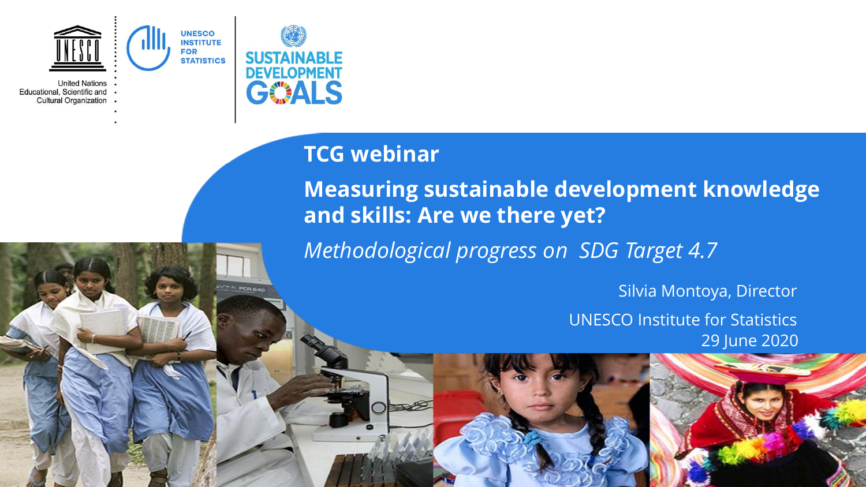

**United Nations** Educational, Scientific and **Cultural Organization** 



**AL PORTION** 

# **TCG webinar**

**Measuring sustainable development knowledge and skills: Are we there yet?**

*Methodological progress on SDG Target 4.7*

Silvia Montoya, Director UNESCO Institute for Statistics 29 June 2020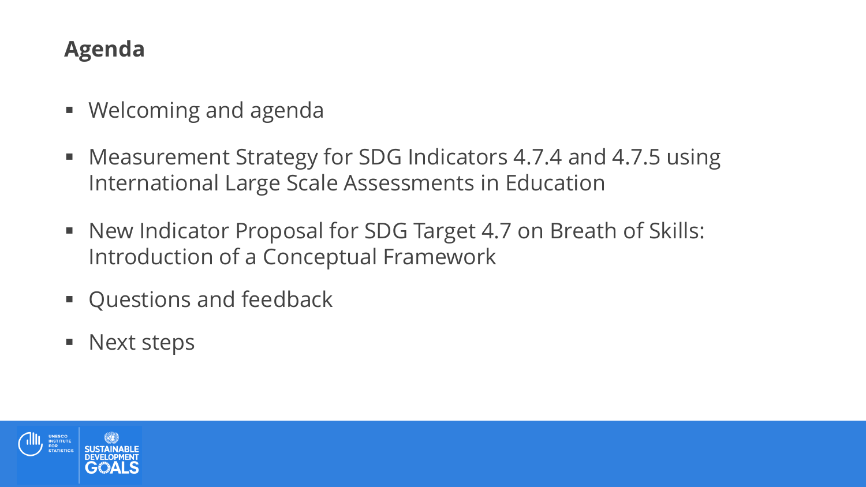# **Agenda**

- Welcoming and agenda
- Measurement Strategy for SDG Indicators 4.7.4 and 4.7.5 using International Large Scale Assessments in Education
- New Indicator Proposal for SDG Target 4.7 on Breath of Skills: Introduction of a Conceptual Framework
- Questions and feedback
- **Next steps**

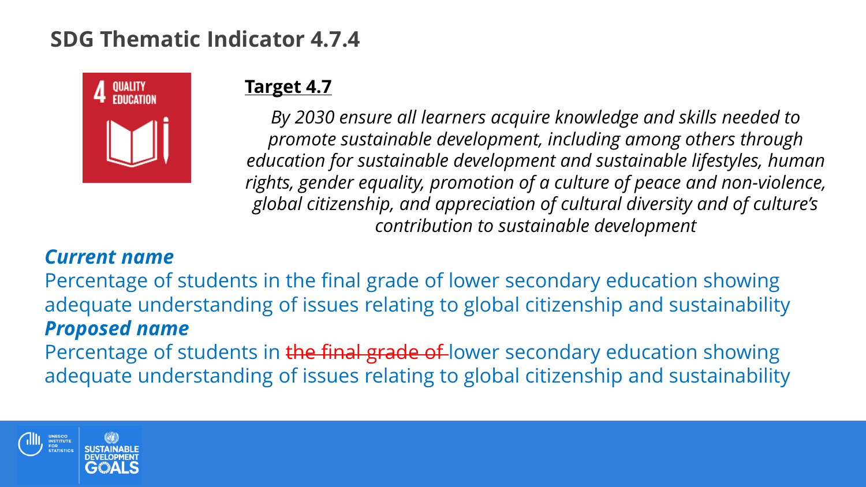## **SDG Thematic Indicator 4.7.4**



### **Target 4.7**

*By 2030 ensure all learners acquire knowledge and skills needed to promote sustainable development, including among others through education for sustainable development and sustainable lifestyles, human rights, gender equality, promotion of a culture of peace and non-violence, global citizenship, and appreciation of cultural diversity and of culture's contribution to sustainable development*

### *Current name*

Percentage of students in the final grade of lower secondary education showing adequate understanding of issues relating to global citizenship and sustainability *Proposed name* 

Percentage of students in the final grade of lower secondary education showing adequate understanding of issues relating to global citizenship and sustainability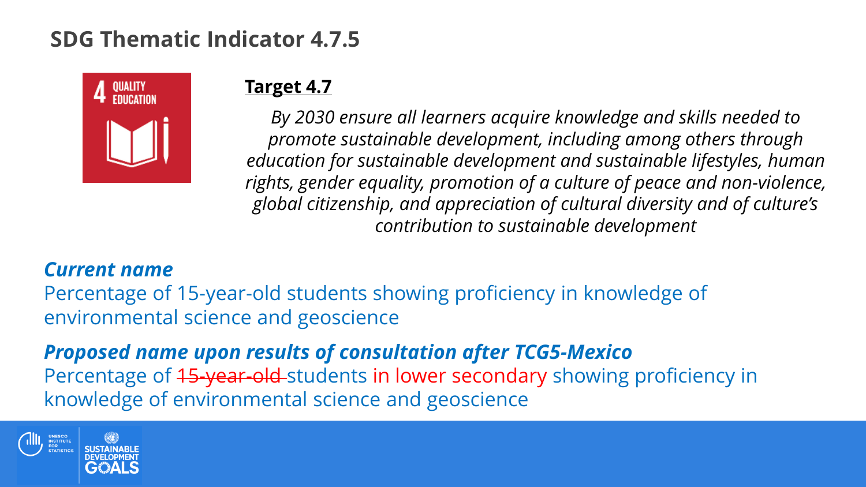## **SDG Thematic Indicator 4.7.5**



### **Target 4.7**

*By 2030 ensure all learners acquire knowledge and skills needed to promote sustainable development, including among others through education for sustainable development and sustainable lifestyles, human rights, gender equality, promotion of a culture of peace and non-violence, global citizenship, and appreciation of cultural diversity and of culture's contribution to sustainable development*

#### *Current name*

Percentage of 15-year-old students showing proficiency in knowledge of environmental science and geoscience

*Proposed name upon results of consultation after TCG5-Mexico* Percentage of 45-year-old-students in lower secondary showing proficiency in knowledge of environmental science and geoscience

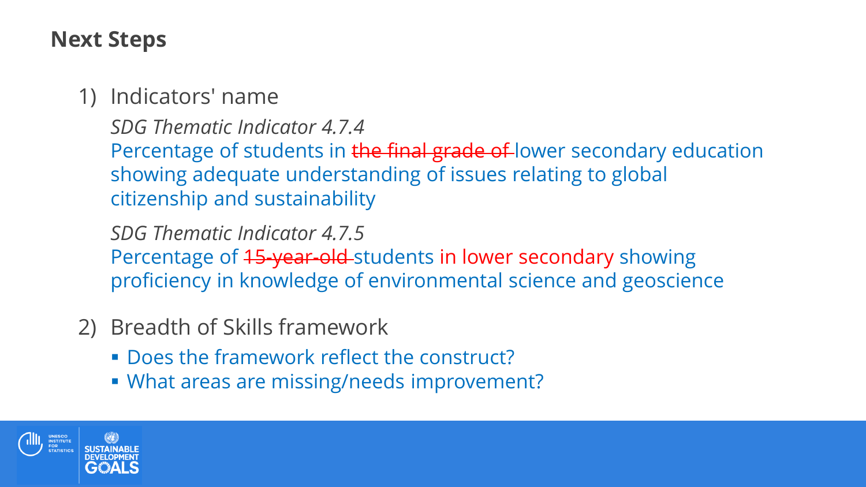### **Next Steps**

### 1) Indicators' name

*SDG Thematic Indicator 4.7.4* Percentage of students in the final grade of lower secondary education showing adequate understanding of issues relating to global citizenship and sustainability

*SDG Thematic Indicator 4.7.5* Percentage of 45-year-old-students in lower secondary showing proficiency in knowledge of environmental science and geoscience

- 2) Breadth of Skills framework
	- **Does the framework reflect the construct?**
	- What areas are missing/needs improvement?